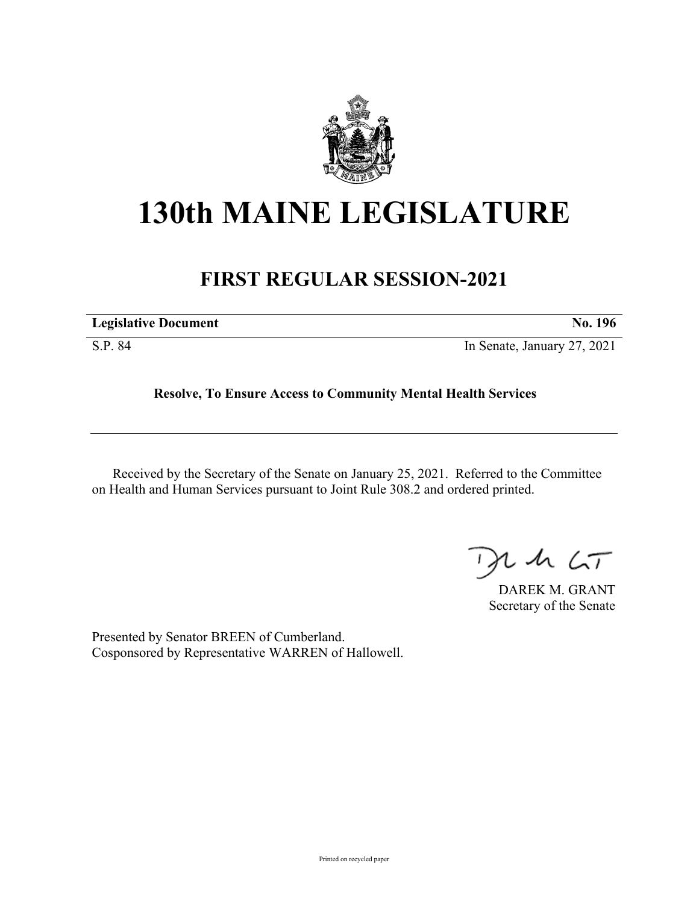

## **130th MAINE LEGISLATURE**

## **FIRST REGULAR SESSION-2021**

| <b>Legislative Document</b> | No. 196                     |
|-----------------------------|-----------------------------|
| S.P. 84                     | In Senate, January 27, 2021 |

**Resolve, To Ensure Access to Community Mental Health Services**

Received by the Secretary of the Senate on January 25, 2021. Referred to the Committee on Health and Human Services pursuant to Joint Rule 308.2 and ordered printed.

 $125$ 

DAREK M. GRANT Secretary of the Senate

Presented by Senator BREEN of Cumberland. Cosponsored by Representative WARREN of Hallowell.